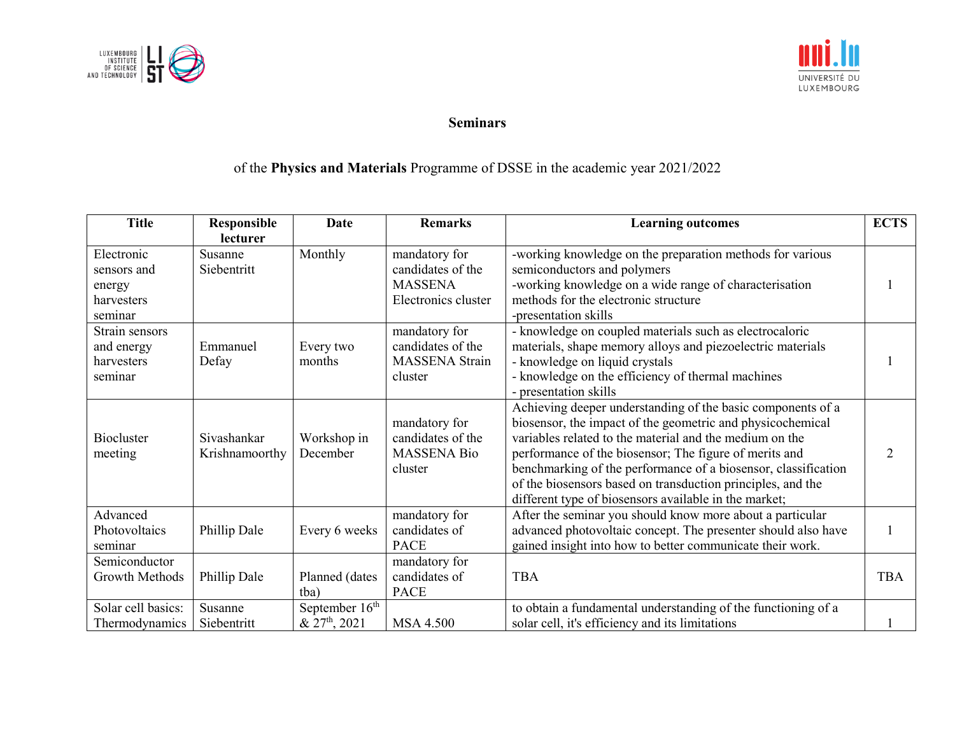



## **Seminars**

## of the **Physics and Materials** Programme of DSSE in the academic year 2021/2022

| <b>Title</b>       | Responsible    | <b>Date</b>               | <b>Remarks</b>        | <b>Learning outcomes</b>                                       | <b>ECTS</b> |
|--------------------|----------------|---------------------------|-----------------------|----------------------------------------------------------------|-------------|
|                    | lecturer       |                           |                       |                                                                |             |
| Electronic         | Susanne        | Monthly                   | mandatory for         | -working knowledge on the preparation methods for various      |             |
| sensors and        | Siebentritt    |                           | candidates of the     | semiconductors and polymers                                    |             |
| energy             |                |                           | <b>MASSENA</b>        | -working knowledge on a wide range of characterisation         |             |
| harvesters         |                |                           | Electronics cluster   | methods for the electronic structure                           |             |
| seminar            |                |                           |                       | -presentation skills                                           |             |
| Strain sensors     |                |                           | mandatory for         | - knowledge on coupled materials such as electrocaloric        |             |
| and energy         | Emmanuel       | Every two                 | candidates of the     | materials, shape memory alloys and piezoelectric materials     |             |
| harvesters         | Defay          | months                    | <b>MASSENA</b> Strain | - knowledge on liquid crystals                                 |             |
| seminar            |                |                           | cluster               | - knowledge on the efficiency of thermal machines              |             |
|                    |                |                           |                       | - presentation skills                                          |             |
|                    |                |                           |                       | Achieving deeper understanding of the basic components of a    |             |
|                    |                |                           | mandatory for         | biosensor, the impact of the geometric and physicochemical     |             |
| <b>Biocluster</b>  | Sivashankar    | Workshop in               | candidates of the     | variables related to the material and the medium on the        |             |
| meeting            | Krishnamoorthy | December                  | <b>MASSENA Bio</b>    | performance of the biosensor; The figure of merits and         |             |
|                    |                |                           | cluster               | benchmarking of the performance of a biosensor, classification |             |
|                    |                |                           |                       | of the biosensors based on transduction principles, and the    |             |
|                    |                |                           |                       | different type of biosensors available in the market;          |             |
| Advanced           |                |                           | mandatory for         | After the seminar you should know more about a particular      |             |
| Photovoltaics      | Phillip Dale   | Every 6 weeks             | candidates of         | advanced photovoltaic concept. The presenter should also have  |             |
| seminar            |                |                           | <b>PACE</b>           | gained insight into how to better communicate their work.      |             |
| Semiconductor      |                |                           | mandatory for         |                                                                |             |
| Growth Methods     | Phillip Dale   | Planned (dates            | candidates of         | <b>TBA</b>                                                     | <b>TBA</b>  |
|                    |                | tba)                      | <b>PACE</b>           |                                                                |             |
| Solar cell basics: | Susanne        | September $16th$          |                       | to obtain a fundamental understanding of the functioning of a  |             |
| Thermodynamics     | Siebentritt    | & 27 <sup>th</sup> , 2021 | <b>MSA 4.500</b>      | solar cell, it's efficiency and its limitations                |             |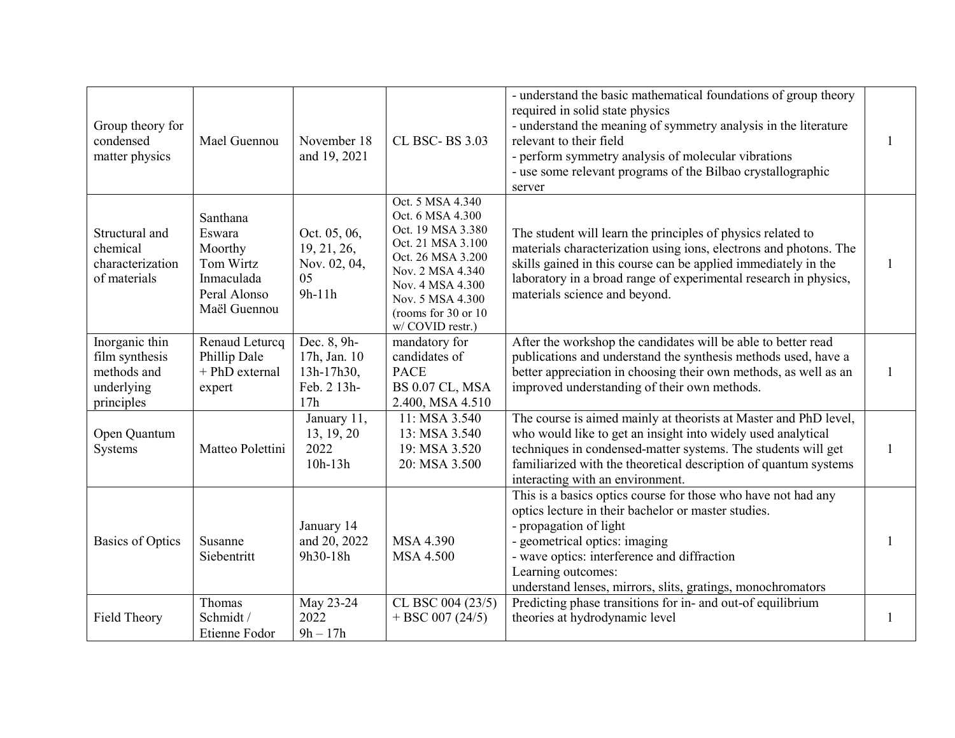| Group theory for<br>condensed<br>matter physics                             | Mael Guennou                                                                             | November 18<br>and 19, 2021                                     | CL BSC-BS 3.03                                                                                                                                                                                              | - understand the basic mathematical foundations of group theory<br>required in solid state physics<br>- understand the meaning of symmetry analysis in the literature<br>relevant to their field<br>- perform symmetry analysis of molecular vibrations<br>- use some relevant programs of the Bilbao crystallographic<br>server | 1            |
|-----------------------------------------------------------------------------|------------------------------------------------------------------------------------------|-----------------------------------------------------------------|-------------------------------------------------------------------------------------------------------------------------------------------------------------------------------------------------------------|----------------------------------------------------------------------------------------------------------------------------------------------------------------------------------------------------------------------------------------------------------------------------------------------------------------------------------|--------------|
| Structural and<br>chemical<br>characterization<br>of materials              | Santhana<br>Eswara<br>Moorthy<br>Tom Wirtz<br>Inmaculada<br>Peral Alonso<br>Maël Guennou | Oct. 05, 06,<br>19, 21, 26,<br>Nov. 02, 04,<br>05<br>$9h-11h$   | Oct. 5 MSA 4.340<br>Oct. 6 MSA 4.300<br>Oct. 19 MSA 3.380<br>Oct. 21 MSA 3.100<br>Oct. 26 MSA 3.200<br>Nov. 2 MSA 4.340<br>Nov. 4 MSA 4.300<br>Nov. 5 MSA 4.300<br>(rooms for 30 or 10)<br>w/ COVID restr.) | The student will learn the principles of physics related to<br>materials characterization using ions, electrons and photons. The<br>skills gained in this course can be applied immediately in the<br>laboratory in a broad range of experimental research in physics,<br>materials science and beyond.                          | -1           |
| Inorganic thin<br>film synthesis<br>methods and<br>underlying<br>principles | Renaud Leturcq<br>Phillip Dale<br>+ PhD external<br>expert                               | Dec. 8, 9h-<br>17h, Jan. 10<br>13h-17h30,<br>Feb. 2 13h-<br>17h | mandatory for<br>candidates of<br><b>PACE</b><br>BS 0.07 CL, MSA<br>2.400, MSA 4.510                                                                                                                        | After the workshop the candidates will be able to better read<br>publications and understand the synthesis methods used, have a<br>better appreciation in choosing their own methods, as well as an<br>improved understanding of their own methods.                                                                              | 1            |
| Open Quantum<br>Systems                                                     | Matteo Polettini                                                                         | January 11,<br>13, 19, 20<br>2022<br>$10h-13h$                  | 11: MSA 3.540<br>13: MSA 3.540<br>19: MSA 3.520<br>20: MSA 3.500                                                                                                                                            | The course is aimed mainly at theorists at Master and PhD level,<br>who would like to get an insight into widely used analytical<br>techniques in condensed-matter systems. The students will get<br>familiarized with the theoretical description of quantum systems<br>interacting with an environment.                        | $\mathbf{1}$ |
| <b>Basics of Optics</b>                                                     | Susanne<br>Siebentritt                                                                   | January 14<br>and 20, 2022<br>9h30-18h                          | MSA 4.390<br><b>MSA 4.500</b>                                                                                                                                                                               | This is a basics optics course for those who have not had any<br>optics lecture in their bachelor or master studies.<br>- propagation of light<br>- geometrical optics: imaging<br>- wave optics: interference and diffraction<br>Learning outcomes:<br>understand lenses, mirrors, slits, gratings, monochromators              |              |
| Field Theory                                                                | Thomas<br>Schmidt /<br>Etienne Fodor                                                     | May 23-24<br>2022<br>$9h - 17h$                                 | CL BSC 004 (23/5)<br>$+ BSC 007 (24/5)$                                                                                                                                                                     | Predicting phase transitions for in- and out-of equilibrium<br>theories at hydrodynamic level                                                                                                                                                                                                                                    | 1            |